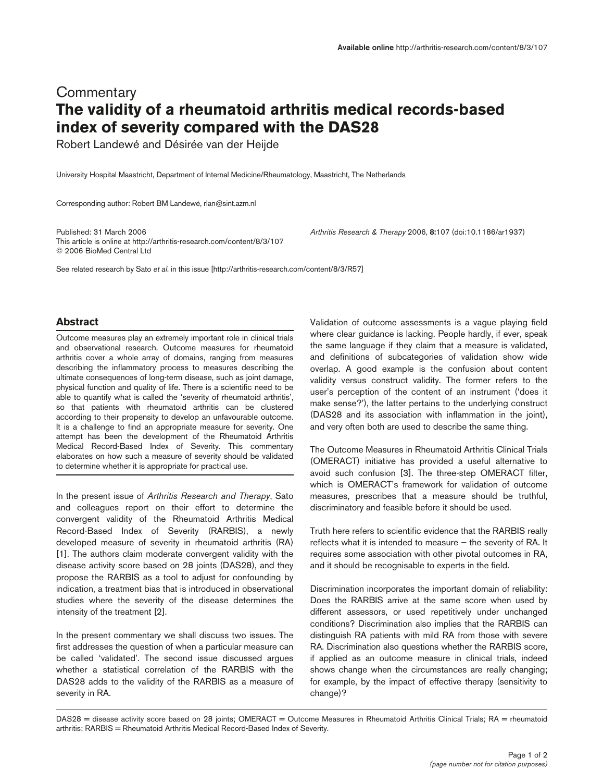## **Commentary The validity of a rheumatoid arthritis medical records-based index of severity compared with the DAS28**

Robert Landewé and Désirée van der Heijde

University Hospital Maastricht, Department of Internal Medicine/Rheumatology, Maastricht, The Netherlands

Corresponding author: Robert BM Landewé, rlan@sint.azm.nl

Published: 31 March 2006 *Arthritis Research & Therapy* 2006, **8:**107 (doi:10.1186/ar1937) This article is online at http://arthritis-research.com/content/8/3/107 © 2006 BioMed Central Ltd

See related research by Sato *et al*. in this issue [http://arthritis-research.com/content/8/3/R57]

## **Abstract**

Outcome measures play an extremely important role in clinical trials and observational research. Outcome measures for rheumatoid arthritis cover a whole array of domains, ranging from measures describing the inflammatory process to measures describing the ultimate consequences of long-term disease, such as joint damage, physical function and quality of life. There is a scientific need to be able to quantify what is called the 'severity of rheumatoid arthritis', so that patients with rheumatoid arthritis can be clustered according to their propensity to develop an unfavourable outcome. It is a challenge to find an appropriate measure for severity. One attempt has been the development of the Rheumatoid Arthritis Medical Record-Based Index of Severity. This commentary elaborates on how such a measure of severity should be validated to determine whether it is appropriate for practical use.

In the present issue of *Arthritis Research and Therapy*, Sato and colleagues report on their effort to determine the convergent validity of the Rheumatoid Arthritis Medical Record-Based Index of Severity (RARBIS), a newly developed measure of severity in rheumatoid arthritis (RA) [1]. The authors claim moderate convergent validity with the disease activity score based on 28 joints (DAS28), and they propose the RARBIS as a tool to adjust for confounding by indication, a treatment bias that is introduced in observational studies where the severity of the disease determines the intensity of the treatment [2].

In the present commentary we shall discuss two issues. The first addresses the question of when a particular measure can be called 'validated'. The second issue discussed argues whether a statistical correlation of the RARBIS with the DAS28 adds to the validity of the RARBIS as a measure of severity in RA.

Validation of outcome assessments is a vague playing field where clear guidance is lacking. People hardly, if ever, speak the same language if they claim that a measure is validated, and definitions of subcategories of validation show wide overlap. A good example is the confusion about content validity versus construct validity. The former refers to the user's perception of the content of an instrument ('does it make sense?'), the latter pertains to the underlying construct (DAS28 and its association with inflammation in the joint), and very often both are used to describe the same thing.

The Outcome Measures in Rheumatoid Arthritis Clinical Trials (OMERACT) initiative has provided a useful alternative to avoid such confusion [3]. The three-step OMERACT filter, which is OMERACT's framework for validation of outcome measures, prescribes that a measure should be truthful, discriminatory and feasible before it should be used.

Truth here refers to scientific evidence that the RARBIS really reflects what it is intended to measure — the severity of RA. It requires some association with other pivotal outcomes in RA, and it should be recognisable to experts in the field.

Discrimination incorporates the important domain of reliability: Does the RARBIS arrive at the same score when used by different assessors, or used repetitively under unchanged conditions? Discrimination also implies that the RARBIS can distinguish RA patients with mild RA from those with severe RA. Discrimination also questions whether the RARBIS score, if applied as an outcome measure in clinical trials, indeed shows change when the circumstances are really changing; for example, by the impact of effective therapy (sensitivity to change)?

DAS28 = disease activity score based on 28 joints; OMERACT = Outcome Measures in Rheumatoid Arthritis Clinical Trials; RA = rheumatoid arthritis; RARBIS = Rheumatoid Arthritis Medical Record-Based Index of Severity.